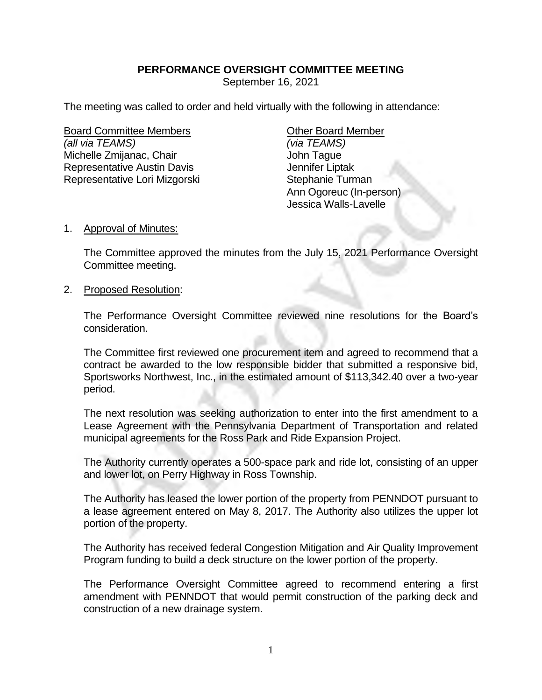## **PERFORMANCE OVERSIGHT COMMITTEE MEETING**

September 16, 2021

The meeting was called to order and held virtually with the following in attendance:

Board Committee Members **Example 20** Other Board Member *(all via TEAMS) (via TEAMS)* Michelle Zmijanac, Chair **John Tague** Representative Austin Davis **Franch Eliptak** Jennifer Liptak Representative Lori Mizgorski Stephanie Turman

Ann Ogoreuc (In-person) Jessica Walls-Lavelle

## 1. Approval of Minutes:

The Committee approved the minutes from the July 15, 2021 Performance Oversight Committee meeting.

## 2. Proposed Resolution:

The Performance Oversight Committee reviewed nine resolutions for the Board's consideration.

The Committee first reviewed one procurement item and agreed to recommend that a contract be awarded to the low responsible bidder that submitted a responsive bid, Sportsworks Northwest, Inc., in the estimated amount of \$113,342.40 over a two-year period.

The next resolution was seeking authorization to enter into the first amendment to a Lease Agreement with the Pennsylvania Department of Transportation and related municipal agreements for the Ross Park and Ride Expansion Project.

The Authority currently operates a 500-space park and ride lot, consisting of an upper and lower lot, on Perry Highway in Ross Township.

The Authority has leased the lower portion of the property from PENNDOT pursuant to a lease agreement entered on May 8, 2017. The Authority also utilizes the upper lot portion of the property.

The Authority has received federal Congestion Mitigation and Air Quality Improvement Program funding to build a deck structure on the lower portion of the property.

The Performance Oversight Committee agreed to recommend entering a first amendment with PENNDOT that would permit construction of the parking deck and construction of a new drainage system.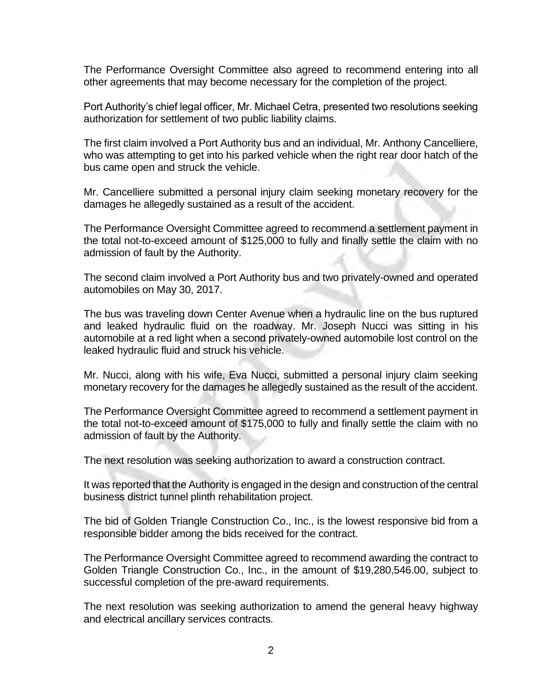The Performance Oversight Committee also agreed to recommend entering into all other agreements that may become necessary for the completion of the project.

Port Authority's chief legal officer, Mr. Michael Cetra, presented two resolutions seeking authorization for settlement of two public liability claims.

The first claim involved a Port Authority bus and an individual, Mr. Anthony Cancelliere, who was attempting to get into his parked vehicle when the right rear door hatch of the bus came open and struck the vehicle.

Mr. Cancelliere submitted a personal injury claim seeking monetary recovery for the damages he allegedly sustained as a result of the accident.

The Performance Oversight Committee agreed to recommend a settlement payment in the total not-to-exceed amount of \$125,000 to fully and finally settle the claim with no admission of fault by the Authority.

The second claim involved a Port Authority bus and two privately-owned and operated automobiles on May 30, 2017.

The bus was traveling down Center Avenue when a hydraulic line on the bus ruptured and leaked hydraulic fluid on the roadway. Mr. Joseph Nucci was sitting in his automobile at a red light when a second privately-owned automobile lost control on the leaked hydraulic fluid and struck his vehicle.

Mr. Nucci, along with his wife, Eva Nucci, submitted a personal injury claim seeking monetary recovery for the damages he allegedly sustained as the result of the accident.

The Performance Oversight Committee agreed to recommend a settlement payment in the total not-to-exceed amount of \$175,000 to fully and finally settle the claim with no admission of fault by the Authority.

The next resolution was seeking authorization to award a construction contract.

It was reported that the Authority is engaged in the design and construction of the central business district tunnel plinth rehabilitation project.

The bid of Golden Triangle Construction Co., Inc., is the lowest responsive bid from a responsible bidder among the bids received for the contract.

The Performance Oversight Committee agreed to recommend awarding the contract to Golden Triangle Construction Co., Inc., in the amount of \$19,280,546.00, subject to successful completion of the pre-award requirements.

The next resolution was seeking authorization to amend the general heavy highway and electrical ancillary services contracts.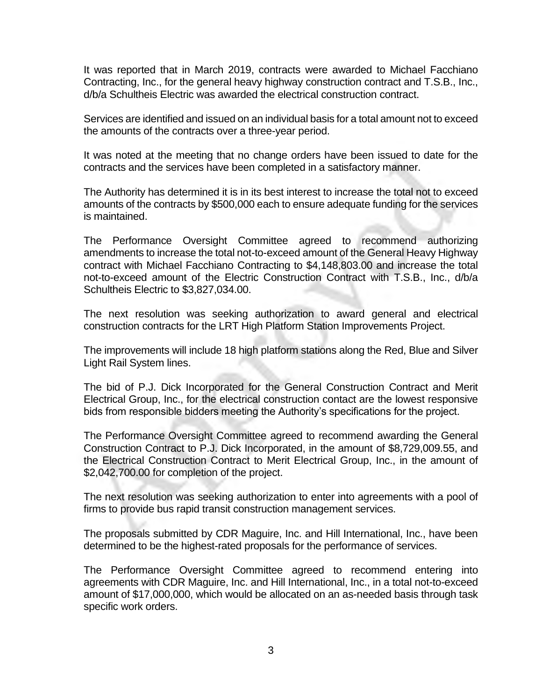It was reported that in March 2019, contracts were awarded to Michael Facchiano Contracting, Inc., for the general heavy highway construction contract and T.S.B., Inc., d/b/a Schultheis Electric was awarded the electrical construction contract.

Services are identified and issued on an individual basis for a total amount not to exceed the amounts of the contracts over a three-year period.

It was noted at the meeting that no change orders have been issued to date for the contracts and the services have been completed in a satisfactory manner.

The Authority has determined it is in its best interest to increase the total not to exceed amounts of the contracts by \$500,000 each to ensure adequate funding for the services is maintained.

The Performance Oversight Committee agreed to recommend authorizing amendments to increase the total not-to-exceed amount of the General Heavy Highway contract with Michael Facchiano Contracting to \$4,148,803.00 and increase the total not-to-exceed amount of the Electric Construction Contract with T.S.B., Inc., d/b/a Schultheis Electric to \$3,827,034.00.

The next resolution was seeking authorization to award general and electrical construction contracts for the LRT High Platform Station Improvements Project.

The improvements will include 18 high platform stations along the Red, Blue and Silver Light Rail System lines.

The bid of P.J. Dick Incorporated for the General Construction Contract and Merit Electrical Group, Inc., for the electrical construction contact are the lowest responsive bids from responsible bidders meeting the Authority's specifications for the project.

The Performance Oversight Committee agreed to recommend awarding the General Construction Contract to P.J. Dick Incorporated, in the amount of \$8,729,009.55, and the Electrical Construction Contract to Merit Electrical Group, Inc., in the amount of \$2,042,700.00 for completion of the project.

The next resolution was seeking authorization to enter into agreements with a pool of firms to provide bus rapid transit construction management services.

The proposals submitted by CDR Maguire, Inc. and Hill International, Inc., have been determined to be the highest-rated proposals for the performance of services.

The Performance Oversight Committee agreed to recommend entering into agreements with CDR Maguire, Inc. and Hill International, Inc., in a total not-to-exceed amount of \$17,000,000, which would be allocated on an as-needed basis through task specific work orders.